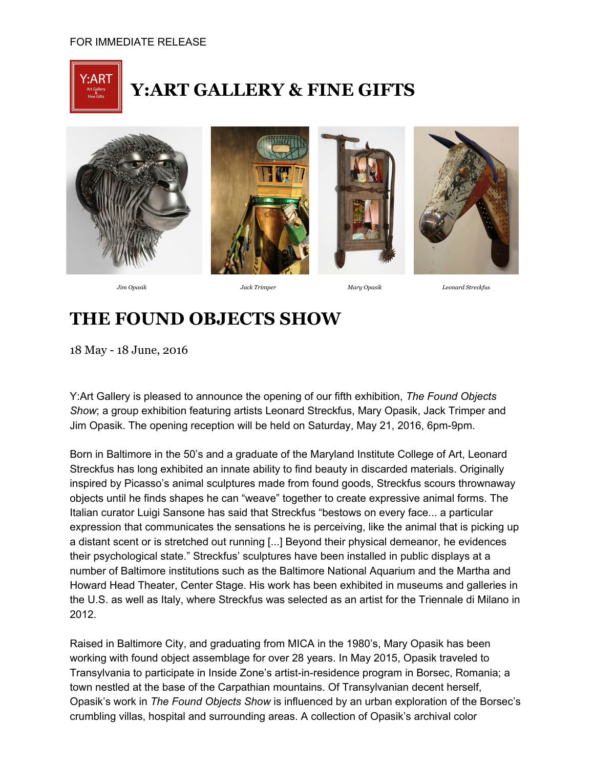

## **Y:ART GALLERY & FINE GIFTS**









*Jim Opasik Jack Trimper Mary Opasik Leonard Streckfus*

## **THE FOUND OBJECTS SHOW**

18 May - 18 June, 2016

Y:Art Gallery is pleased to announce the opening of our fifth exhibition, *The Found Objects Show*; a group exhibition featuring artists Leonard Streckfus, Mary Opasik, Jack Trimper and Jim Opasik. The opening reception will be held on Saturday, May 21, 2016, 6pm-9pm.

Born in Baltimore in the 50's and a graduate of the Maryland Institute College of Art, Leonard Streckfus has long exhibited an innate ability to find beauty in discarded materials. Originally inspired by Picasso's animal sculptures made from found goods, Streckfus scours thrownaway objects until he finds shapes he can "weave" together to create expressive animal forms. The Italian curator Luigi Sansone has said that Streckfus "bestows on every face... a particular expression that communicates the sensations he is perceiving, like the animal that is picking up a distant scent or is stretched out running [...] Beyond their physical demeanor, he evidences their psychological state." Streckfus' sculptures have been installed in public displays at a number of Baltimore institutions such as the Baltimore National Aquarium and the Martha and Howard Head Theater, Center Stage. His work has been exhibited in museums and galleries in the U.S. as well as Italy, where Streckfus was selected as an artist for the Triennale di Milano in 2012.

Raised in Baltimore City, and graduating from MICA in the 1980's, Mary Opasik has been working with found object assemblage for over 28 years. In May 2015, Opasik traveled to Transylvania to participate in Inside Zone's artist-in-residence program in Borsec, Romania; a town nestled at the base of the Carpathian mountains. Of Transylvanian decent herself, Opasik's work in *The Found Objects Show* is influenced by an urban exploration of the Borsec's crumbling villas, hospital and surrounding areas. A collection of Opasik's archival color